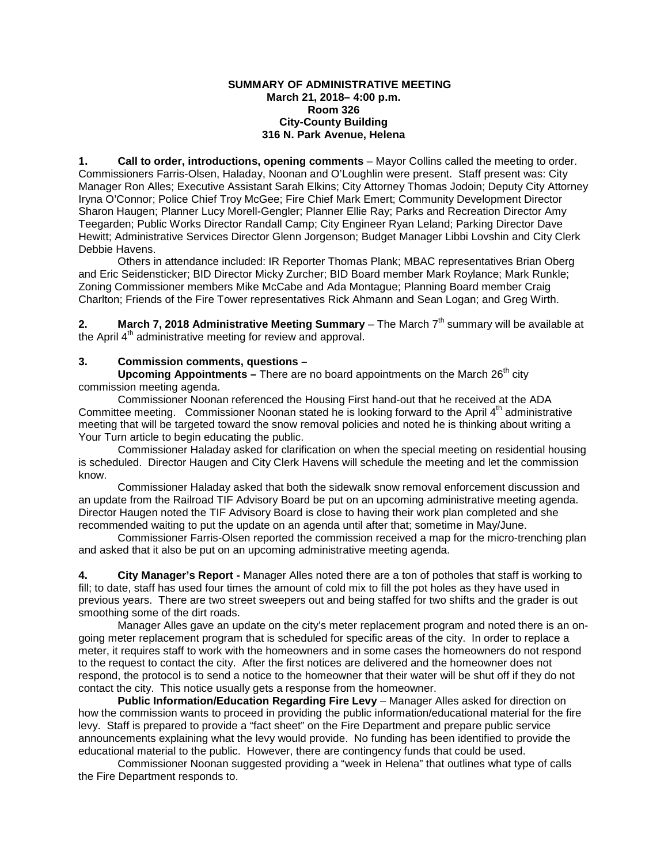### **SUMMARY OF ADMINISTRATIVE MEETING March 21, 2018– 4:00 p.m. Room 326 City-County Building 316 N. Park Avenue, Helena**

**1. Call to order, introductions, opening comments** – Mayor Collins called the meeting to order. Commissioners Farris-Olsen, Haladay, Noonan and O'Loughlin were present. Staff present was: City Manager Ron Alles; Executive Assistant Sarah Elkins; City Attorney Thomas Jodoin; Deputy City Attorney Iryna O'Connor; Police Chief Troy McGee; Fire Chief Mark Emert; Community Development Director Sharon Haugen; Planner Lucy Morell-Gengler; Planner Ellie Ray; Parks and Recreation Director Amy Teegarden; Public Works Director Randall Camp; City Engineer Ryan Leland; Parking Director Dave Hewitt; Administrative Services Director Glenn Jorgenson; Budget Manager Libbi Lovshin and City Clerk Debbie Havens.

Others in attendance included: IR Reporter Thomas Plank; MBAC representatives Brian Oberg and Eric Seidensticker; BID Director Micky Zurcher; BID Board member Mark Roylance; Mark Runkle; Zoning Commissioner members Mike McCabe and Ada Montague; Planning Board member Craig Charlton; Friends of the Fire Tower representatives Rick Ahmann and Sean Logan; and Greg Wirth.

**2. March 7, 2018 Administrative Meeting Summary** – The March  $7<sup>th</sup>$  summary will be available at the April 4<sup>th</sup> administrative meeting for review and approval.

# **3. Commission comments, questions –**

**Upcoming Appointments –** There are no board appointments on the March 26<sup>th</sup> city commission meeting agenda.

Commissioner Noonan referenced the Housing First hand-out that he received at the ADA Committee meeting. Commissioner Noonan stated he is looking forward to the April 4<sup>th</sup> administrative meeting that will be targeted toward the snow removal policies and noted he is thinking about writing a Your Turn article to begin educating the public.

Commissioner Haladay asked for clarification on when the special meeting on residential housing is scheduled. Director Haugen and City Clerk Havens will schedule the meeting and let the commission know.

Commissioner Haladay asked that both the sidewalk snow removal enforcement discussion and an update from the Railroad TIF Advisory Board be put on an upcoming administrative meeting agenda. Director Haugen noted the TIF Advisory Board is close to having their work plan completed and she recommended waiting to put the update on an agenda until after that; sometime in May/June.

Commissioner Farris-Olsen reported the commission received a map for the micro-trenching plan and asked that it also be put on an upcoming administrative meeting agenda.

**4. City Manager's Report -** Manager Alles noted there are a ton of potholes that staff is working to fill; to date, staff has used four times the amount of cold mix to fill the pot holes as they have used in previous years. There are two street sweepers out and being staffed for two shifts and the grader is out smoothing some of the dirt roads.

Manager Alles gave an update on the city's meter replacement program and noted there is an ongoing meter replacement program that is scheduled for specific areas of the city. In order to replace a meter, it requires staff to work with the homeowners and in some cases the homeowners do not respond to the request to contact the city. After the first notices are delivered and the homeowner does not respond, the protocol is to send a notice to the homeowner that their water will be shut off if they do not contact the city. This notice usually gets a response from the homeowner.

**Public Information/Education Regarding Fire Levy** – Manager Alles asked for direction on how the commission wants to proceed in providing the public information/educational material for the fire levy. Staff is prepared to provide a "fact sheet" on the Fire Department and prepare public service announcements explaining what the levy would provide. No funding has been identified to provide the educational material to the public. However, there are contingency funds that could be used.

Commissioner Noonan suggested providing a "week in Helena" that outlines what type of calls the Fire Department responds to.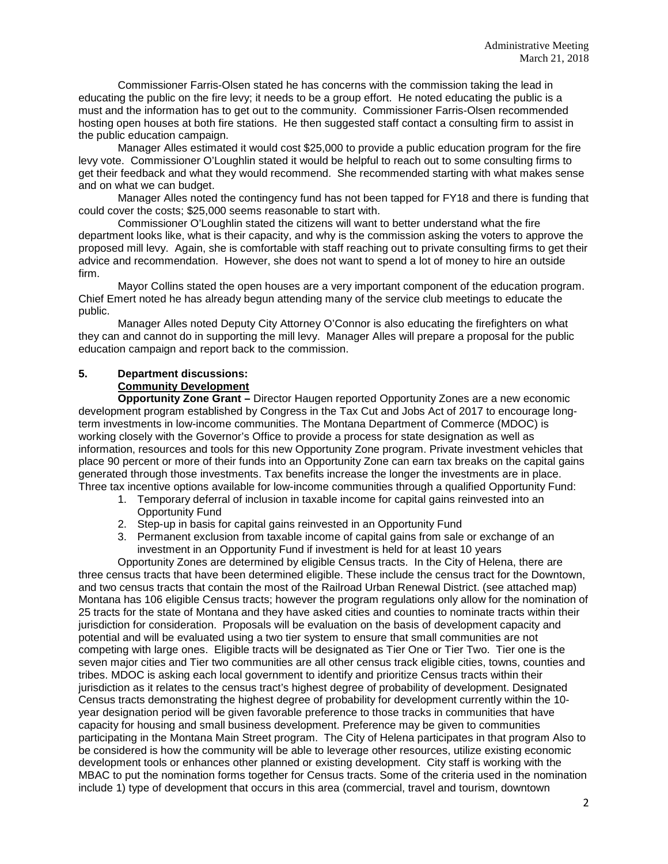Commissioner Farris-Olsen stated he has concerns with the commission taking the lead in educating the public on the fire levy; it needs to be a group effort. He noted educating the public is a must and the information has to get out to the community. Commissioner Farris-Olsen recommended hosting open houses at both fire stations. He then suggested staff contact a consulting firm to assist in the public education campaign.

Manager Alles estimated it would cost \$25,000 to provide a public education program for the fire levy vote. Commissioner O'Loughlin stated it would be helpful to reach out to some consulting firms to get their feedback and what they would recommend. She recommended starting with what makes sense and on what we can budget.

Manager Alles noted the contingency fund has not been tapped for FY18 and there is funding that could cover the costs; \$25,000 seems reasonable to start with.

Commissioner O'Loughlin stated the citizens will want to better understand what the fire department looks like, what is their capacity, and why is the commission asking the voters to approve the proposed mill levy. Again, she is comfortable with staff reaching out to private consulting firms to get their advice and recommendation. However, she does not want to spend a lot of money to hire an outside firm.

Mayor Collins stated the open houses are a very important component of the education program. Chief Emert noted he has already begun attending many of the service club meetings to educate the public.

Manager Alles noted Deputy City Attorney O'Connor is also educating the firefighters on what they can and cannot do in supporting the mill levy. Manager Alles will prepare a proposal for the public education campaign and report back to the commission.

#### **5. Department discussions: Community Development**

**Opportunity Zone Grant –** Director Haugen reported Opportunity Zones are a new economic development program established by Congress in the Tax Cut and Jobs Act of 2017 to encourage longterm investments in low-income communities. The Montana Department of Commerce (MDOC) is working closely with the Governor's Office to provide a process for state designation as well as information, resources and tools for this new Opportunity Zone program. Private investment vehicles that place 90 percent or more of their funds into an Opportunity Zone can earn tax breaks on the capital gains generated through those investments. Tax benefits increase the longer the investments are in place. Three tax incentive options available for low-income communities through a qualified Opportunity Fund:

- 1. Temporary deferral of inclusion in taxable income for capital gains reinvested into an Opportunity Fund
- 2. Step-up in basis for capital gains reinvested in an Opportunity Fund
- 3. Permanent exclusion from taxable income of capital gains from sale or exchange of an investment in an Opportunity Fund if investment is held for at least 10 years

Opportunity Zones are determined by eligible Census tracts. In the City of Helena, there are three census tracts that have been determined eligible. These include the census tract for the Downtown, and two census tracts that contain the most of the Railroad Urban Renewal District. (see attached map) Montana has 106 eligible Census tracts; however the program regulations only allow for the nomination of 25 tracts for the state of Montana and they have asked cities and counties to nominate tracts within their jurisdiction for consideration. Proposals will be evaluation on the basis of development capacity and potential and will be evaluated using a two tier system to ensure that small communities are not competing with large ones. Eligible tracts will be designated as Tier One or Tier Two. Tier one is the seven major cities and Tier two communities are all other census track eligible cities, towns, counties and tribes. MDOC is asking each local government to identify and prioritize Census tracts within their jurisdiction as it relates to the census tract's highest degree of probability of development. Designated Census tracts demonstrating the highest degree of probability for development currently within the 10 year designation period will be given favorable preference to those tracks in communities that have capacity for housing and small business development. Preference may be given to communities participating in the Montana Main Street program. The City of Helena participates in that program Also to be considered is how the community will be able to leverage other resources, utilize existing economic development tools or enhances other planned or existing development. City staff is working with the MBAC to put the nomination forms together for Census tracts. Some of the criteria used in the nomination include 1) type of development that occurs in this area (commercial, travel and tourism, downtown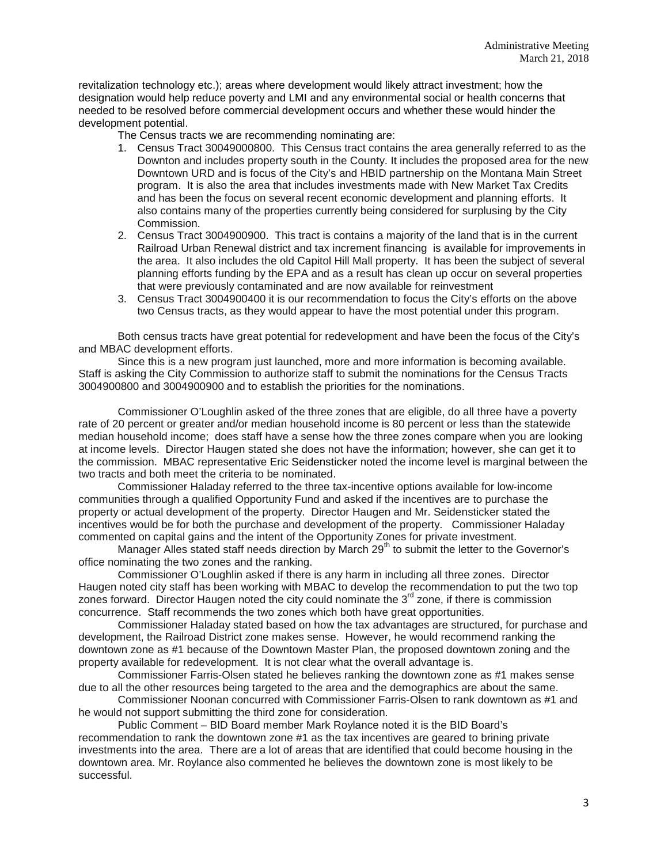revitalization technology etc.); areas where development would likely attract investment; how the designation would help reduce poverty and LMI and any environmental social or health concerns that needed to be resolved before commercial development occurs and whether these would hinder the development potential.

The Census tracts we are recommending nominating are:

- 1. Census Tract 30049000800. This Census tract contains the area generally referred to as the Downton and includes property south in the County. It includes the proposed area for the new Downtown URD and is focus of the City's and HBID partnership on the Montana Main Street program. It is also the area that includes investments made with New Market Tax Credits and has been the focus on several recent economic development and planning efforts. It also contains many of the properties currently being considered for surplusing by the City Commission.
- 2. Census Tract 3004900900. This tract is contains a majority of the land that is in the current Railroad Urban Renewal district and tax increment financing is available for improvements in the area. It also includes the old Capitol Hill Mall property. It has been the subject of several planning efforts funding by the EPA and as a result has clean up occur on several properties that were previously contaminated and are now available for reinvestment
- 3. Census Tract 3004900400 it is our recommendation to focus the City's efforts on the above two Census tracts, as they would appear to have the most potential under this program.

Both census tracts have great potential for redevelopment and have been the focus of the City's and MBAC development efforts.

Since this is a new program just launched, more and more information is becoming available. Staff is asking the City Commission to authorize staff to submit the nominations for the Census Tracts 3004900800 and 3004900900 and to establish the priorities for the nominations.

Commissioner O'Loughlin asked of the three zones that are eligible, do all three have a poverty rate of 20 percent or greater and/or median household income is 80 percent or less than the statewide median household income; does staff have a sense how the three zones compare when you are looking at income levels. Director Haugen stated she does not have the information; however, she can get it to the commission. MBAC representative Eric Seidensticker noted the income level is marginal between the two tracts and both meet the criteria to be nominated.

Commissioner Haladay referred to the three tax-incentive options available for low-income communities through a qualified Opportunity Fund and asked if the incentives are to purchase the property or actual development of the property. Director Haugen and Mr. Seidensticker stated the incentives would be for both the purchase and development of the property. Commissioner Haladay commented on capital gains and the intent of the Opportunity Zones for private investment.

Manager Alles stated staff needs direction by March 29<sup>th</sup> to submit the letter to the Governor's office nominating the two zones and the ranking.

Commissioner O'Loughlin asked if there is any harm in including all three zones. Director Haugen noted city staff has been working with MBAC to develop the recommendation to put the two top zones forward. Director Haugen noted the city could nominate the  $3<sup>rd</sup>$  zone, if there is commission concurrence. Staff recommends the two zones which both have great opportunities.

Commissioner Haladay stated based on how the tax advantages are structured, for purchase and development, the Railroad District zone makes sense. However, he would recommend ranking the downtown zone as #1 because of the Downtown Master Plan, the proposed downtown zoning and the property available for redevelopment. It is not clear what the overall advantage is.

Commissioner Farris-Olsen stated he believes ranking the downtown zone as #1 makes sense due to all the other resources being targeted to the area and the demographics are about the same.

Commissioner Noonan concurred with Commissioner Farris-Olsen to rank downtown as #1 and he would not support submitting the third zone for consideration.

Public Comment – BID Board member Mark Roylance noted it is the BID Board's recommendation to rank the downtown zone #1 as the tax incentives are geared to brining private investments into the area. There are a lot of areas that are identified that could become housing in the downtown area. Mr. Roylance also commented he believes the downtown zone is most likely to be successful.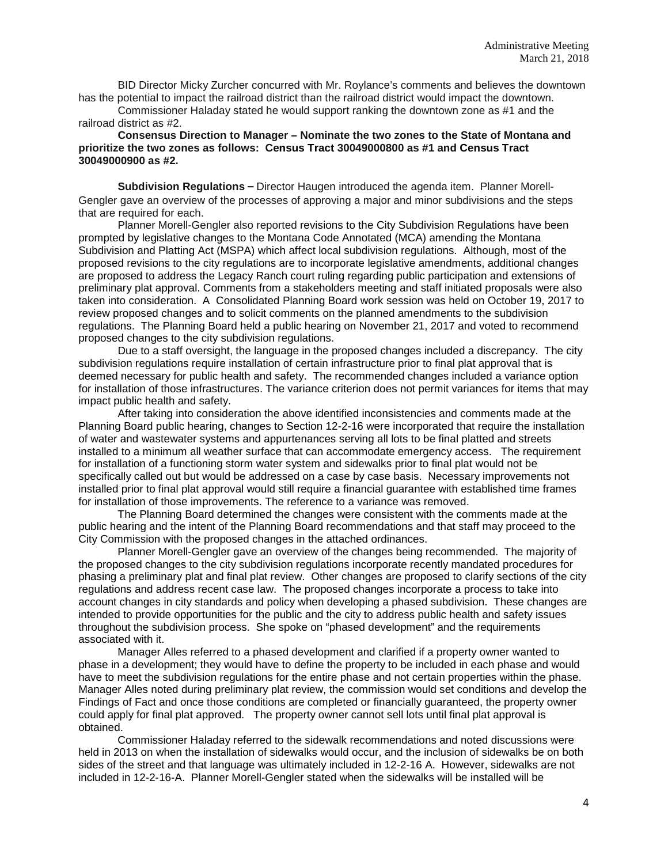BID Director Micky Zurcher concurred with Mr. Roylance's comments and believes the downtown has the potential to impact the railroad district than the railroad district would impact the downtown.

Commissioner Haladay stated he would support ranking the downtown zone as #1 and the railroad district as #2.

### **Consensus Direction to Manager – Nominate the two zones to the State of Montana and prioritize the two zones as follows: Census Tract 30049000800 as #1 and Census Tract 30049000900 as #2.**

**Subdivision Regulations –** Director Haugen introduced the agenda item. Planner Morell-Gengler gave an overview of the processes of approving a major and minor subdivisions and the steps that are required for each.

Planner Morell-Gengler also reported revisions to the City Subdivision Regulations have been prompted by legislative changes to the Montana Code Annotated (MCA) amending the Montana Subdivision and Platting Act (MSPA) which affect local subdivision regulations. Although, most of the proposed revisions to the city regulations are to incorporate legislative amendments, additional changes are proposed to address the Legacy Ranch court ruling regarding public participation and extensions of preliminary plat approval. Comments from a stakeholders meeting and staff initiated proposals were also taken into consideration. A Consolidated Planning Board work session was held on October 19, 2017 to review proposed changes and to solicit comments on the planned amendments to the subdivision regulations. The Planning Board held a public hearing on November 21, 2017 and voted to recommend proposed changes to the city subdivision regulations.

Due to a staff oversight, the language in the proposed changes included a discrepancy. The city subdivision regulations require installation of certain infrastructure prior to final plat approval that is deemed necessary for public health and safety. The recommended changes included a variance option for installation of those infrastructures. The variance criterion does not permit variances for items that may impact public health and safety.

After taking into consideration the above identified inconsistencies and comments made at the Planning Board public hearing, changes to Section 12-2-16 were incorporated that require the installation of water and wastewater systems and appurtenances serving all lots to be final platted and streets installed to a minimum all weather surface that can accommodate emergency access. The requirement for installation of a functioning storm water system and sidewalks prior to final plat would not be specifically called out but would be addressed on a case by case basis. Necessary improvements not installed prior to final plat approval would still require a financial guarantee with established time frames for installation of those improvements. The reference to a variance was removed.

The Planning Board determined the changes were consistent with the comments made at the public hearing and the intent of the Planning Board recommendations and that staff may proceed to the City Commission with the proposed changes in the attached ordinances.

Planner Morell-Gengler gave an overview of the changes being recommended. The majority of the proposed changes to the city subdivision regulations incorporate recently mandated procedures for phasing a preliminary plat and final plat review. Other changes are proposed to clarify sections of the city regulations and address recent case law. The proposed changes incorporate a process to take into account changes in city standards and policy when developing a phased subdivision. These changes are intended to provide opportunities for the public and the city to address public health and safety issues throughout the subdivision process. She spoke on "phased development" and the requirements associated with it.

Manager Alles referred to a phased development and clarified if a property owner wanted to phase in a development; they would have to define the property to be included in each phase and would have to meet the subdivision regulations for the entire phase and not certain properties within the phase. Manager Alles noted during preliminary plat review, the commission would set conditions and develop the Findings of Fact and once those conditions are completed or financially guaranteed, the property owner could apply for final plat approved. The property owner cannot sell lots until final plat approval is obtained.

Commissioner Haladay referred to the sidewalk recommendations and noted discussions were held in 2013 on when the installation of sidewalks would occur, and the inclusion of sidewalks be on both sides of the street and that language was ultimately included in 12-2-16 A. However, sidewalks are not included in 12-2-16-A. Planner Morell-Gengler stated when the sidewalks will be installed will be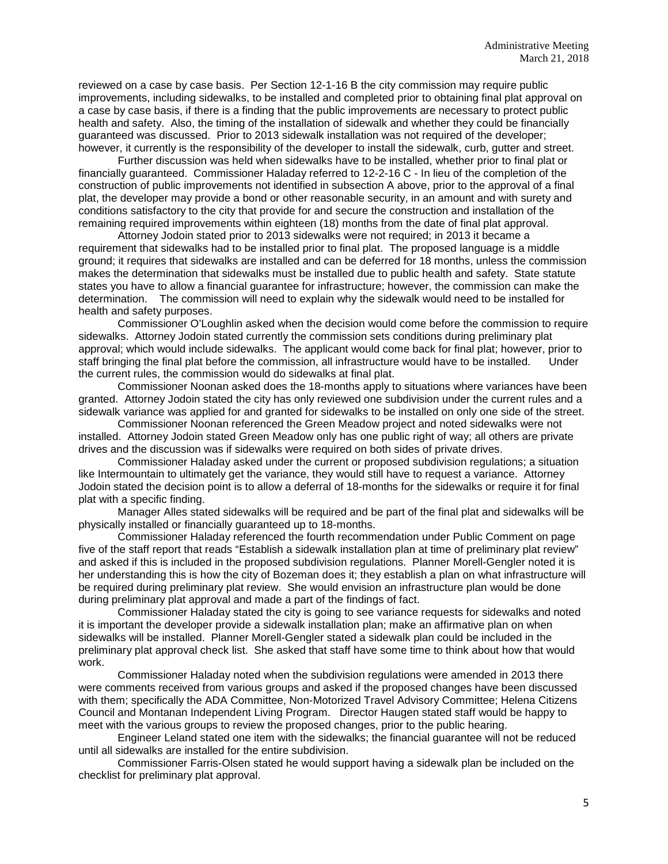reviewed on a case by case basis. Per Section 12-1-16 B the city commission may require public improvements, including sidewalks, to be installed and completed prior to obtaining final plat approval on a case by case basis, if there is a finding that the public improvements are necessary to protect public health and safety. Also, the timing of the installation of sidewalk and whether they could be financially guaranteed was discussed. Prior to 2013 sidewalk installation was not required of the developer; however, it currently is the responsibility of the developer to install the sidewalk, curb, gutter and street.

Further discussion was held when sidewalks have to be installed, whether prior to final plat or financially guaranteed. Commissioner Haladay referred to 12-2-16 C - In lieu of the completion of the construction of public improvements not identified in subsection A above, prior to the approval of a final plat, the developer may provide a bond or other reasonable security, in an amount and with surety and conditions satisfactory to the city that provide for and secure the construction and installation of the remaining required improvements within eighteen (18) months from the date of final plat approval.

Attorney Jodoin stated prior to 2013 sidewalks were not required; in 2013 it became a requirement that sidewalks had to be installed prior to final plat. The proposed language is a middle ground; it requires that sidewalks are installed and can be deferred for 18 months, unless the commission makes the determination that sidewalks must be installed due to public health and safety. State statute states you have to allow a financial guarantee for infrastructure; however, the commission can make the determination. The commission will need to explain why the sidewalk would need to be installed for health and safety purposes.

Commissioner O'Loughlin asked when the decision would come before the commission to require sidewalks. Attorney Jodoin stated currently the commission sets conditions during preliminary plat approval; which would include sidewalks. The applicant would come back for final plat; however, prior to staff brinaing the final plat before the commission, all infrastructure would have to be installed. Under staff bringing the final plat before the commission, all infrastructure would have to be installed. the current rules, the commission would do sidewalks at final plat.

Commissioner Noonan asked does the 18-months apply to situations where variances have been granted. Attorney Jodoin stated the city has only reviewed one subdivision under the current rules and a sidewalk variance was applied for and granted for sidewalks to be installed on only one side of the street.

Commissioner Noonan referenced the Green Meadow project and noted sidewalks were not installed. Attorney Jodoin stated Green Meadow only has one public right of way; all others are private drives and the discussion was if sidewalks were required on both sides of private drives.

Commissioner Haladay asked under the current or proposed subdivision regulations; a situation like Intermountain to ultimately get the variance, they would still have to request a variance. Attorney Jodoin stated the decision point is to allow a deferral of 18-months for the sidewalks or require it for final plat with a specific finding.

Manager Alles stated sidewalks will be required and be part of the final plat and sidewalks will be physically installed or financially guaranteed up to 18-months.

Commissioner Haladay referenced the fourth recommendation under Public Comment on page five of the staff report that reads "Establish a sidewalk installation plan at time of preliminary plat review" and asked if this is included in the proposed subdivision regulations. Planner Morell-Gengler noted it is her understanding this is how the city of Bozeman does it; they establish a plan on what infrastructure will be required during preliminary plat review. She would envision an infrastructure plan would be done during preliminary plat approval and made a part of the findings of fact.

Commissioner Haladay stated the city is going to see variance requests for sidewalks and noted it is important the developer provide a sidewalk installation plan; make an affirmative plan on when sidewalks will be installed. Planner Morell-Gengler stated a sidewalk plan could be included in the preliminary plat approval check list. She asked that staff have some time to think about how that would work.

Commissioner Haladay noted when the subdivision regulations were amended in 2013 there were comments received from various groups and asked if the proposed changes have been discussed with them; specifically the ADA Committee, Non-Motorized Travel Advisory Committee; Helena Citizens Council and Montanan Independent Living Program. Director Haugen stated staff would be happy to meet with the various groups to review the proposed changes, prior to the public hearing.

Engineer Leland stated one item with the sidewalks; the financial guarantee will not be reduced until all sidewalks are installed for the entire subdivision.

Commissioner Farris-Olsen stated he would support having a sidewalk plan be included on the checklist for preliminary plat approval.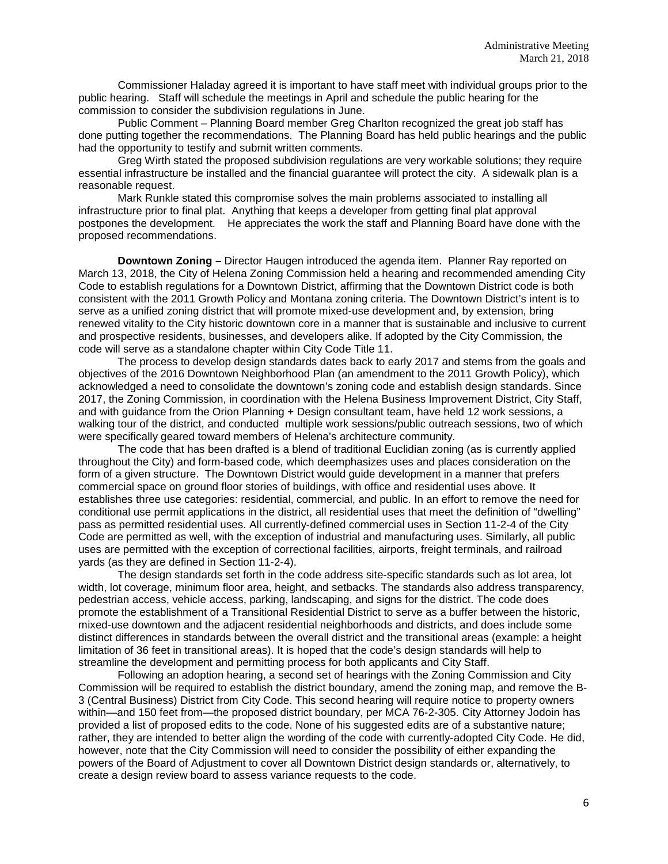Commissioner Haladay agreed it is important to have staff meet with individual groups prior to the public hearing. Staff will schedule the meetings in April and schedule the public hearing for the commission to consider the subdivision regulations in June.

Public Comment – Planning Board member Greg Charlton recognized the great job staff has done putting together the recommendations. The Planning Board has held public hearings and the public had the opportunity to testify and submit written comments.

Greg Wirth stated the proposed subdivision regulations are very workable solutions; they require essential infrastructure be installed and the financial guarantee will protect the city. A sidewalk plan is a reasonable request.

Mark Runkle stated this compromise solves the main problems associated to installing all infrastructure prior to final plat. Anything that keeps a developer from getting final plat approval postpones the development. He appreciates the work the staff and Planning Board have done with the proposed recommendations.

**Downtown Zoning –** Director Haugen introduced the agenda item. Planner Ray reported on March 13, 2018, the City of Helena Zoning Commission held a hearing and recommended amending City Code to establish regulations for a Downtown District, affirming that the Downtown District code is both consistent with the 2011 Growth Policy and Montana zoning criteria. The Downtown District's intent is to serve as a unified zoning district that will promote mixed-use development and, by extension, bring renewed vitality to the City historic downtown core in a manner that is sustainable and inclusive to current and prospective residents, businesses, and developers alike. If adopted by the City Commission, the code will serve as a standalone chapter within City Code Title 11.

The process to develop design standards dates back to early 2017 and stems from the goals and objectives of the 2016 Downtown Neighborhood Plan (an amendment to the 2011 Growth Policy), which acknowledged a need to consolidate the downtown's zoning code and establish design standards. Since 2017, the Zoning Commission, in coordination with the Helena Business Improvement District, City Staff, and with guidance from the Orion Planning + Design consultant team, have held 12 work sessions, a walking tour of the district, and conducted multiple work sessions/public outreach sessions, two of which were specifically geared toward members of Helena's architecture community.

The code that has been drafted is a blend of traditional Euclidian zoning (as is currently applied throughout the City) and form-based code, which deemphasizes uses and places consideration on the form of a given structure. The Downtown District would guide development in a manner that prefers commercial space on ground floor stories of buildings, with office and residential uses above. It establishes three use categories: residential, commercial, and public. In an effort to remove the need for conditional use permit applications in the district, all residential uses that meet the definition of "dwelling" pass as permitted residential uses. All currently-defined commercial uses in Section 11-2-4 of the City Code are permitted as well, with the exception of industrial and manufacturing uses. Similarly, all public uses are permitted with the exception of correctional facilities, airports, freight terminals, and railroad yards (as they are defined in Section 11-2-4).

The design standards set forth in the code address site-specific standards such as lot area, lot width, lot coverage, minimum floor area, height, and setbacks. The standards also address transparency, pedestrian access, vehicle access, parking, landscaping, and signs for the district. The code does promote the establishment of a Transitional Residential District to serve as a buffer between the historic, mixed-use downtown and the adjacent residential neighborhoods and districts, and does include some distinct differences in standards between the overall district and the transitional areas (example: a height limitation of 36 feet in transitional areas). It is hoped that the code's design standards will help to streamline the development and permitting process for both applicants and City Staff.

Following an adoption hearing, a second set of hearings with the Zoning Commission and City Commission will be required to establish the district boundary, amend the zoning map, and remove the B-3 (Central Business) District from City Code. This second hearing will require notice to property owners within—and 150 feet from—the proposed district boundary, per MCA 76-2-305. City Attorney Jodoin has provided a list of proposed edits to the code. None of his suggested edits are of a substantive nature; rather, they are intended to better align the wording of the code with currently-adopted City Code. He did, however, note that the City Commission will need to consider the possibility of either expanding the powers of the Board of Adjustment to cover all Downtown District design standards or, alternatively, to create a design review board to assess variance requests to the code.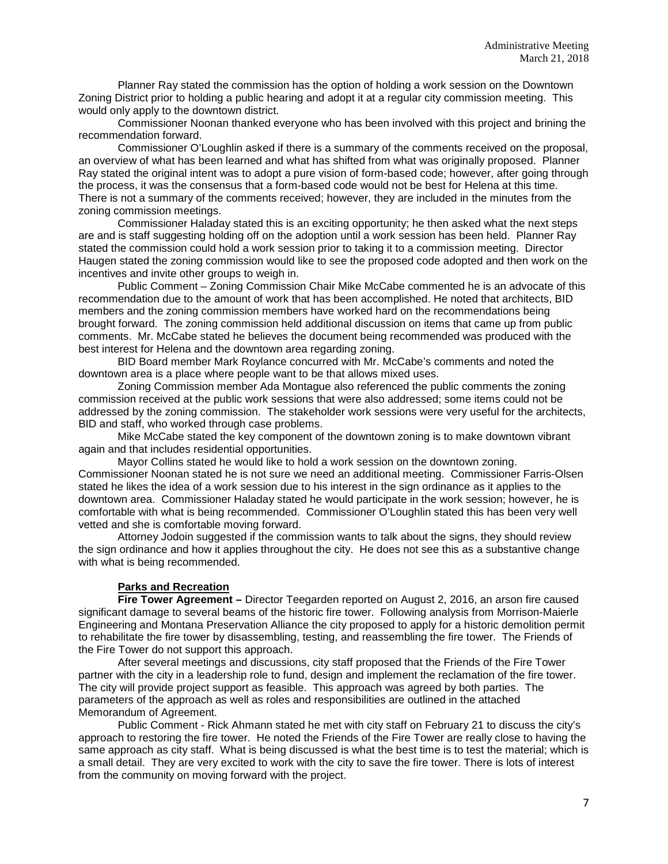Planner Ray stated the commission has the option of holding a work session on the Downtown Zoning District prior to holding a public hearing and adopt it at a regular city commission meeting. This would only apply to the downtown district.

Commissioner Noonan thanked everyone who has been involved with this project and brining the recommendation forward.

Commissioner O'Loughlin asked if there is a summary of the comments received on the proposal, an overview of what has been learned and what has shifted from what was originally proposed. Planner Ray stated the original intent was to adopt a pure vision of form-based code; however, after going through the process, it was the consensus that a form-based code would not be best for Helena at this time. There is not a summary of the comments received; however, they are included in the minutes from the zoning commission meetings.

Commissioner Haladay stated this is an exciting opportunity; he then asked what the next steps are and is staff suggesting holding off on the adoption until a work session has been held. Planner Ray stated the commission could hold a work session prior to taking it to a commission meeting. Director Haugen stated the zoning commission would like to see the proposed code adopted and then work on the incentives and invite other groups to weigh in.

Public Comment – Zoning Commission Chair Mike McCabe commented he is an advocate of this recommendation due to the amount of work that has been accomplished. He noted that architects, BID members and the zoning commission members have worked hard on the recommendations being brought forward. The zoning commission held additional discussion on items that came up from public comments. Mr. McCabe stated he believes the document being recommended was produced with the best interest for Helena and the downtown area regarding zoning.

BID Board member Mark Roylance concurred with Mr. McCabe's comments and noted the downtown area is a place where people want to be that allows mixed uses.

Zoning Commission member Ada Montague also referenced the public comments the zoning commission received at the public work sessions that were also addressed; some items could not be addressed by the zoning commission. The stakeholder work sessions were very useful for the architects, BID and staff, who worked through case problems.

Mike McCabe stated the key component of the downtown zoning is to make downtown vibrant again and that includes residential opportunities.

Mayor Collins stated he would like to hold a work session on the downtown zoning.

Commissioner Noonan stated he is not sure we need an additional meeting. Commissioner Farris-Olsen stated he likes the idea of a work session due to his interest in the sign ordinance as it applies to the downtown area. Commissioner Haladay stated he would participate in the work session; however, he is comfortable with what is being recommended. Commissioner O'Loughlin stated this has been very well vetted and she is comfortable moving forward.

Attorney Jodoin suggested if the commission wants to talk about the signs, they should review the sign ordinance and how it applies throughout the city. He does not see this as a substantive change with what is being recommended.

### **Parks and Recreation**

**Fire Tower Agreement –** Director Teegarden reported on August 2, 2016, an arson fire caused significant damage to several beams of the historic fire tower. Following analysis from Morrison-Maierle Engineering and Montana Preservation Alliance the city proposed to apply for a historic demolition permit to rehabilitate the fire tower by disassembling, testing, and reassembling the fire tower. The Friends of the Fire Tower do not support this approach.

After several meetings and discussions, city staff proposed that the Friends of the Fire Tower partner with the city in a leadership role to fund, design and implement the reclamation of the fire tower. The city will provide project support as feasible. This approach was agreed by both parties. The parameters of the approach as well as roles and responsibilities are outlined in the attached Memorandum of Agreement.

Public Comment - Rick Ahmann stated he met with city staff on February 21 to discuss the city's approach to restoring the fire tower. He noted the Friends of the Fire Tower are really close to having the same approach as city staff. What is being discussed is what the best time is to test the material; which is a small detail. They are very excited to work with the city to save the fire tower. There is lots of interest from the community on moving forward with the project.